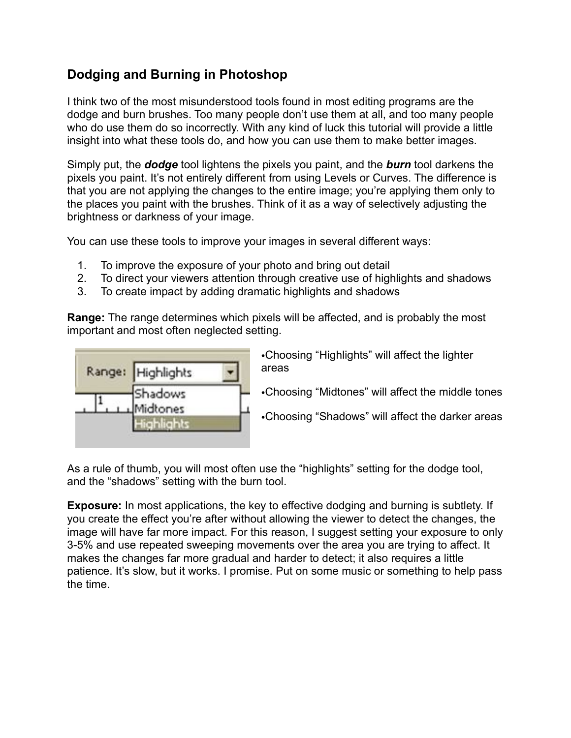## **Dodging and Burning in Photoshop**

I think two of the most misunderstood tools found in most editing programs are the dodge and burn brushes. Too many people don't use them at all, and too many people who do use them do so incorrectly. With any kind of luck this tutorial will provide a little insight into what these tools do, and how you can use them to make better images.

Simply put, the *dodge* tool lightens the pixels you paint, and the *burn* tool darkens the pixels you paint. It's not entirely different from using Levels or Curves. The difference is that you are not applying the changes to the entire image; you're applying them only to the places you paint with the brushes. Think of it as a way of selectively adjusting the brightness or darkness of your image.

You can use these tools to improve your images in several different ways:

- 1. To improve the exposure of your photo and bring out detail
- 2. To direct your viewers attention through creative use of highlights and shadows
- 3. To create impact by adding dramatic highlights and shadows

**Range:** The range determines which pixels will be affected, and is probably the most important and most often neglected setting.



•Choosing "Highlights" will affect the lighter areas

•Choosing "Midtones" will affect the middle tones

•Choosing "Shadows" will affect the darker areas

As a rule of thumb, you will most often use the "highlights" setting for the dodge tool, and the "shadows" setting with the burn tool.

**Exposure:** In most applications, the key to effective dodging and burning is subtlety. If you create the effect you're after without allowing the viewer to detect the changes, the image will have far more impact. For this reason, I suggest setting your exposure to only 3-5% and use repeated sweeping movements over the area you are trying to affect. It makes the changes far more gradual and harder to detect; it also requires a little patience. It's slow, but it works. I promise. Put on some music or something to help pass the time.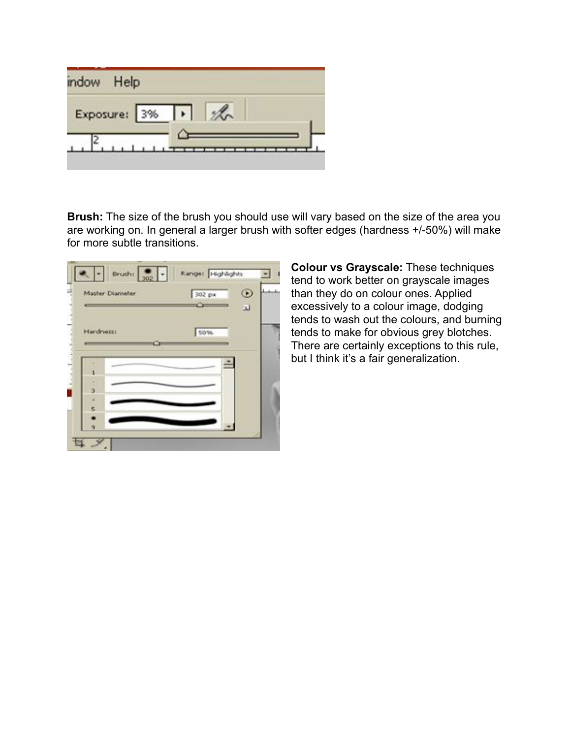| mdow | Help             |
|------|------------------|
|      | Exposure: 3%   % |
|      |                  |

**Brush:** The size of the brush you should use will vary based on the size of the area you are working on. In general a larger brush with softer edges (hardness +/-50%) will make for more subtle transitions.

| Master Diameter | 302 px | $^{\circ}$     |
|-----------------|--------|----------------|
|                 |        | $\overline{u}$ |
| Hardness:       | 50%    |                |
|                 |        |                |
|                 |        |                |
| ż               |        |                |
| з               |        |                |
| s               |        |                |
|                 |        |                |
|                 |        |                |

**Colour vs Grayscale:** These techniques tend to work better on grayscale images than they do on colour ones. Applied excessively to a colour image, dodging tends to wash out the colours, and burning tends to make for obvious grey blotches. There are certainly exceptions to this rule, but I think it's a fair generalization.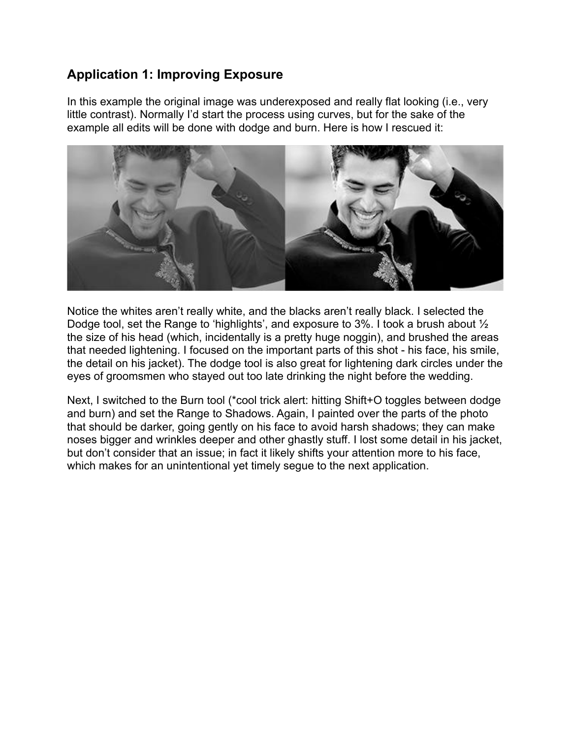## **Application 1: Improving Exposure**

In this example the original image was underexposed and really flat looking (i.e., very little contrast). Normally I'd start the process using curves, but for the sake of the example all edits will be done with dodge and burn. Here is how I rescued it:



Notice the whites aren't really white, and the blacks aren't really black. I selected the Dodge tool, set the Range to 'highlights', and exposure to 3%. I took a brush about ½ the size of his head (which, incidentally is a pretty huge noggin), and brushed the areas that needed lightening. I focused on the important parts of this shot - his face, his smile, the detail on his jacket). The dodge tool is also great for lightening dark circles under the eyes of groomsmen who stayed out too late drinking the night before the wedding.

Next, I switched to the Burn tool (\*cool trick alert: hitting Shift+O toggles between dodge and burn) and set the Range to Shadows. Again, I painted over the parts of the photo that should be darker, going gently on his face to avoid harsh shadows; they can make noses bigger and wrinkles deeper and other ghastly stuff. I lost some detail in his jacket, but don't consider that an issue; in fact it likely shifts your attention more to his face, which makes for an unintentional yet timely segue to the next application.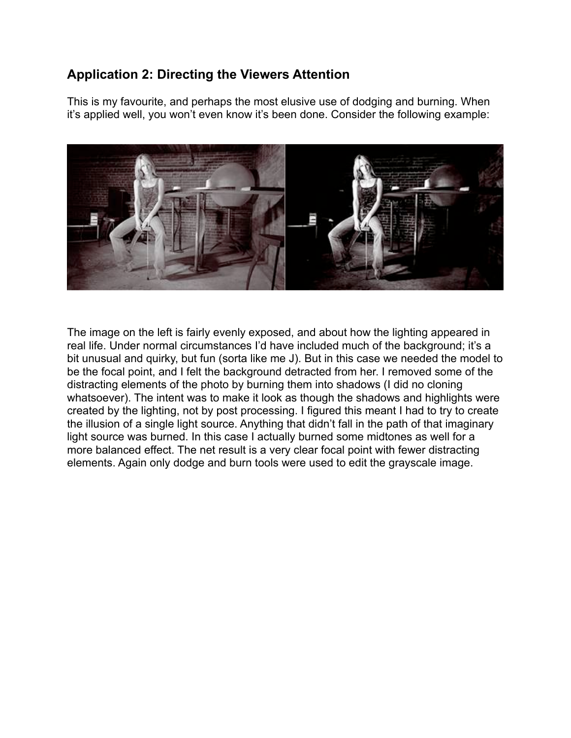## **Application 2: Directing the Viewers Attention**

This is my favourite, and perhaps the most elusive use of dodging and burning. When it's applied well, you won't even know it's been done. Consider the following example:



The image on the left is fairly evenly exposed, and about how the lighting appeared in real life. Under normal circumstances I'd have included much of the background; it's a bit unusual and quirky, but fun (sorta like me J). But in this case we needed the model to be the focal point, and I felt the background detracted from her. I removed some of the distracting elements of the photo by burning them into shadows (I did no cloning whatsoever). The intent was to make it look as though the shadows and highlights were created by the lighting, not by post processing. I figured this meant I had to try to create the illusion of a single light source. Anything that didn't fall in the path of that imaginary light source was burned. In this case I actually burned some midtones as well for a more balanced effect. The net result is a very clear focal point with fewer distracting elements. Again only dodge and burn tools were used to edit the grayscale image.